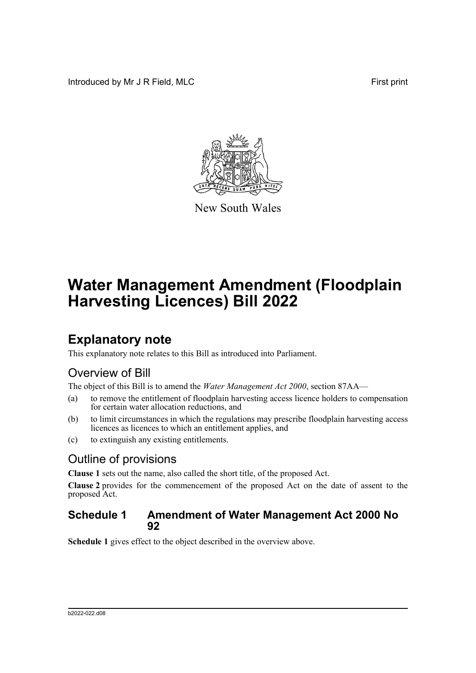Introduced by Mr J R Field, MLC First print



New South Wales

# **Water Management Amendment (Floodplain Harvesting Licences) Bill 2022**

## **Explanatory note**

This explanatory note relates to this Bill as introduced into Parliament.

### Overview of Bill

The object of this Bill is to amend the *Water Management Act 2000*, section 87AA—

- (a) to remove the entitlement of floodplain harvesting access licence holders to compensation for certain water allocation reductions, and
- (b) to limit circumstances in which the regulations may prescribe floodplain harvesting access licences as licences to which an entitlement applies, and
- (c) to extinguish any existing entitlements.

### Outline of provisions

**Clause 1** sets out the name, also called the short title, of the proposed Act.

**Clause 2** provides for the commencement of the proposed Act on the date of assent to the proposed Act.

#### **Schedule 1 Amendment of Water Management Act 2000 No 92**

**Schedule 1** gives effect to the object described in the overview above.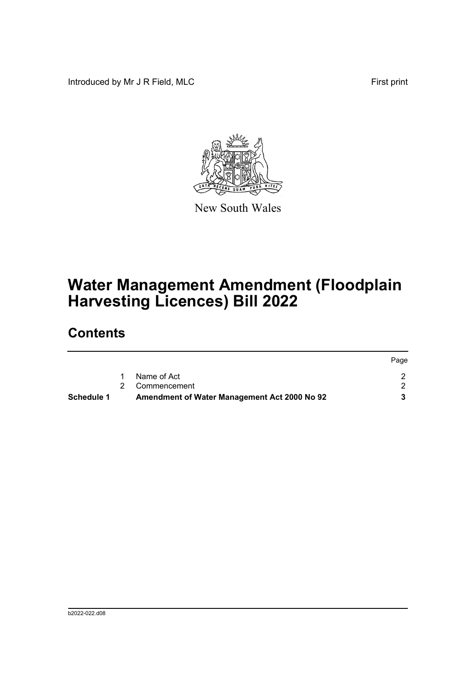Introduced by Mr J R Field, MLC First print



New South Wales

# **Water Management Amendment (Floodplain Harvesting Licences) Bill 2022**

## **Contents**

| <b>Schedule 1</b> | Amendment of Water Management Act 2000 No 92 |      |
|-------------------|----------------------------------------------|------|
|                   | 2 Commencement                               |      |
|                   | Name of Act                                  |      |
|                   |                                              | Page |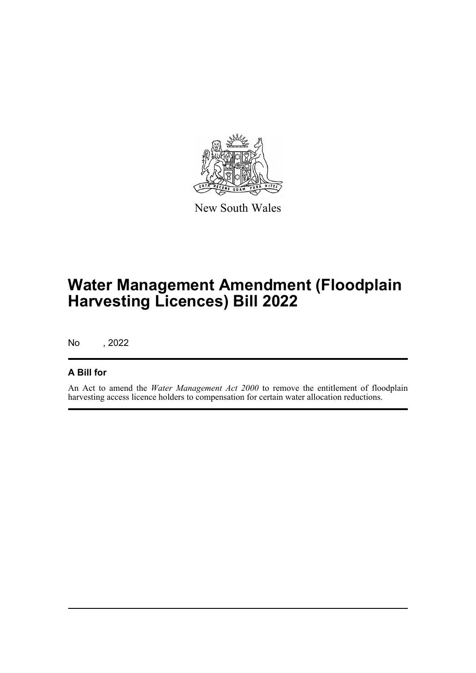

New South Wales

## **Water Management Amendment (Floodplain Harvesting Licences) Bill 2022**

No , 2022

#### **A Bill for**

An Act to amend the *Water Management Act 2000* to remove the entitlement of floodplain harvesting access licence holders to compensation for certain water allocation reductions.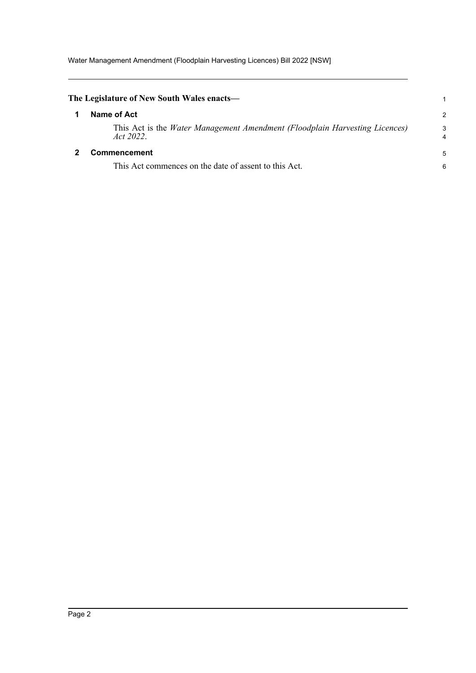Water Management Amendment (Floodplain Harvesting Licences) Bill 2022 [NSW]

<span id="page-3-1"></span><span id="page-3-0"></span>

| The Legislature of New South Wales enacts—                                                  |        |
|---------------------------------------------------------------------------------------------|--------|
| Name of Act                                                                                 | 2      |
| This Act is the Water Management Amendment (Floodplain Harvesting Licences)<br>Act $2022$ . | 3<br>4 |
| <b>Commencement</b>                                                                         | 5      |
| This Act commences on the date of assent to this Act.                                       | 6      |
|                                                                                             |        |